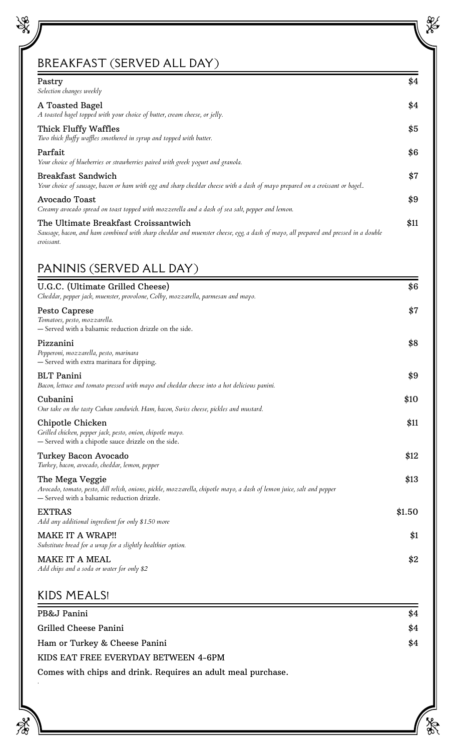# BREAKFAST (SERVED ALL DAY)

\$8

| Pastry<br>Selection changes weekly                                                                                                                                                       | \$4  |
|------------------------------------------------------------------------------------------------------------------------------------------------------------------------------------------|------|
| A Toasted Bagel<br>A toasted bagel topped with your choice of butter, cream cheese, or jelly.                                                                                            | \$4  |
| Thick Fluffy Waffles<br>Two thick fluffy waffles smothered in syrup and topped with butter.                                                                                              | \$5  |
| Parfait<br>Your choice of blueberries or strawberries paired with greek yogurt and granola.                                                                                              | \$6  |
| Breakfast Sandwich<br>Your choice of sausage, bacon or ham with egg and sharp cheddar cheese with a dash of mayo prepared on a croissant or bagel                                        | \$7  |
| Avocado Toast<br>Creamy avocado spread on toast topped with mozzerella and a dash of sea salt, pepper and lemon.                                                                         | \$9  |
| The Ultimate Breakfast Croissantwich<br>Sausage, bacon, and ham combined with sharp cheddar and muenster cheese, egg, a dash of mayo, all prepared and pressed in a double<br>croissant. | \$11 |

# PANINIS (SERVED ALL DAY)

*.*

 $\mathcal{F}^{\prime}_{\infty}$ 

| U.G.C. (Ultimate Grilled Cheese)<br>Cheddar, pepper jack, muenster, provolone, Colby, mozzarella, parmesan and mayo.                                                                     | \$6    |
|------------------------------------------------------------------------------------------------------------------------------------------------------------------------------------------|--------|
| Pesto Caprese<br>Tomatoes, pesto, mozzarella.<br>- Served with a balsamic reduction drizzle on the side.                                                                                 | \$7    |
| Pizzanini<br>Pepperoni, mozzarella, pesto, marinara<br>- Served with extra marinara for dipping.                                                                                         | \$8    |
| <b>BLT</b> Panini<br>Bacon, lettuce and tomato pressed with mayo and cheddar cheese into a hot delicious panini.                                                                         | \$9    |
| Cubanini<br>Our take on the tasty Cuban sandwich. Ham, bacon, Swiss cheese, pickles and mustard.                                                                                         | \$10   |
| Chipotle Chicken<br>Grilled chicken, pepper jack, pesto, onion, chipotle mayo.<br>- Served with a chipotle sauce drizzle on the side.                                                    | \$11   |
| Turkey Bacon Avocado<br>Turkey, bacon, avocado, cheddar, lemon, pepper                                                                                                                   | \$12   |
| The Mega Veggie<br>Avocado, tomato, pesto, dill relish, onions, pickle, mozzarella, chipotle mayo, a dash of lemon juice, salt and pepper<br>- Served with a balsamic reduction drizzle. | \$13   |
| <b>EXTRAS</b><br>Add any additional ingredient for only \$1.50 more                                                                                                                      | \$1.50 |
| <b>MAKE IT A WRAP!!</b><br>Substitute bread for a wrap for a slightly healthier option.                                                                                                  | \$1    |
| <b>MAKE IT A MEAL</b><br>Add chips and a soda or water for only \$2                                                                                                                      | \$2    |
| <b>KIDS MEALS!</b>                                                                                                                                                                       |        |

| PB&J Panini                                                  | \$4 |
|--------------------------------------------------------------|-----|
| Grilled Cheese Panini                                        | \$4 |
| Ham or Turkey & Cheese Panini                                | \$4 |
| KIDS EAT FREE EVERYDAY BETWEEN 4-6PM                         |     |
| Comes with chips and drink. Requires an adult meal purchase. |     |

ala<br>19

**SER**